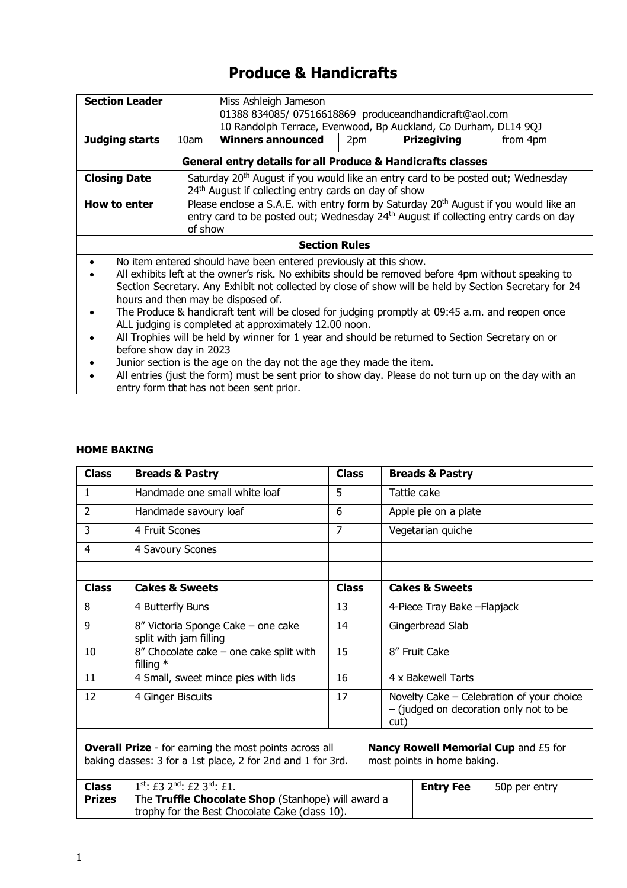# **Produce & Handicrafts**

| <b>Section Leader</b>                                                | Miss Ashleigh Jameson                                              |                                                                                                                                                                                                                                                                                                                                                                                                                                                                                                                                                                                          |  |  |  |  |
|----------------------------------------------------------------------|--------------------------------------------------------------------|------------------------------------------------------------------------------------------------------------------------------------------------------------------------------------------------------------------------------------------------------------------------------------------------------------------------------------------------------------------------------------------------------------------------------------------------------------------------------------------------------------------------------------------------------------------------------------------|--|--|--|--|
|                                                                      | 01388 834085/07516618869 produceandhandicraft@aol.com              |                                                                                                                                                                                                                                                                                                                                                                                                                                                                                                                                                                                          |  |  |  |  |
|                                                                      |                                                                    | 10 Randolph Terrace, Evenwood, Bp Auckland, Co Durham, DL14 9QJ                                                                                                                                                                                                                                                                                                                                                                                                                                                                                                                          |  |  |  |  |
|                                                                      |                                                                    |                                                                                                                                                                                                                                                                                                                                                                                                                                                                                                                                                                                          |  |  |  |  |
| Judging starts                                                       | <b>Winners announced</b><br>Prizegiving<br>10am<br>2pm<br>from 4pm |                                                                                                                                                                                                                                                                                                                                                                                                                                                                                                                                                                                          |  |  |  |  |
|                                                                      |                                                                    | General entry details for all Produce & Handicrafts classes                                                                                                                                                                                                                                                                                                                                                                                                                                                                                                                              |  |  |  |  |
| <b>Closing Date</b>                                                  |                                                                    | Saturday 20 <sup>th</sup> August if you would like an entry card to be posted out; Wednesday<br>24 <sup>th</sup> August if collecting entry cards on day of show                                                                                                                                                                                                                                                                                                                                                                                                                         |  |  |  |  |
| How to enter                                                         | of show                                                            | Please enclose a S.A.E. with entry form by Saturday $20th$ August if you would like an<br>entry card to be posted out; Wednesday 24 <sup>th</sup> August if collecting entry cards on day                                                                                                                                                                                                                                                                                                                                                                                                |  |  |  |  |
|                                                                      |                                                                    | <b>Section Rules</b>                                                                                                                                                                                                                                                                                                                                                                                                                                                                                                                                                                     |  |  |  |  |
| before show day in 2023                                              |                                                                    | No item entered should have been entered previously at this show.<br>All exhibits left at the owner's risk. No exhibits should be removed before 4pm without speaking to<br>Section Secretary. Any Exhibit not collected by close of show will be held by Section Secretary for 24<br>hours and then may be disposed of.<br>The Produce & handicraft tent will be closed for judging promptly at 09:45 a.m. and reopen once<br>ALL judging is completed at approximately 12.00 noon.<br>All Trophies will be held by winner for 1 year and should be returned to Section Secretary on or |  |  |  |  |
| Junior section is the age on the day not the age they made the item. |                                                                    |                                                                                                                                                                                                                                                                                                                                                                                                                                                                                                                                                                                          |  |  |  |  |

• All entries (just the form) must be sent prior to show day. Please do not turn up on the day with an entry form that has not been sent prior.

## **HOME BAKING**

| <b>Class</b>                                                                                                                 | <b>Breads &amp; Pastry</b>                                                                           | <b>Class</b>   |  |                    | <b>Breads &amp; Pastry</b>                                                                  |                                      |  |
|------------------------------------------------------------------------------------------------------------------------------|------------------------------------------------------------------------------------------------------|----------------|--|--------------------|---------------------------------------------------------------------------------------------|--------------------------------------|--|
| $\mathbf{1}$                                                                                                                 | Handmade one small white loaf                                                                        | 5              |  |                    | Tattie cake                                                                                 |                                      |  |
| $\overline{2}$                                                                                                               | Handmade savoury loaf                                                                                | 6              |  |                    | Apple pie on a plate                                                                        |                                      |  |
| 3                                                                                                                            | 4 Fruit Scones                                                                                       | $\overline{7}$ |  |                    | Vegetarian quiche                                                                           |                                      |  |
| 4                                                                                                                            | 4 Savoury Scones                                                                                     |                |  |                    |                                                                                             |                                      |  |
|                                                                                                                              |                                                                                                      |                |  |                    |                                                                                             |                                      |  |
| <b>Class</b>                                                                                                                 | <b>Cakes &amp; Sweets</b>                                                                            | <b>Class</b>   |  |                    | <b>Cakes &amp; Sweets</b>                                                                   |                                      |  |
| 8                                                                                                                            | 4 Butterfly Buns                                                                                     | 13             |  |                    | 4-Piece Tray Bake - Flapjack                                                                |                                      |  |
| 9                                                                                                                            | 8" Victoria Sponge Cake - one cake<br>split with jam filling                                         | 14             |  |                    | Gingerbread Slab                                                                            |                                      |  |
| 10                                                                                                                           | 8" Chocolate cake - one cake split with<br>filling $*$                                               | 15             |  |                    | 8" Fruit Cake                                                                               |                                      |  |
| 11                                                                                                                           | 4 Small, sweet mince pies with lids                                                                  | 16             |  | 4 x Bakewell Tarts |                                                                                             |                                      |  |
| 12                                                                                                                           | 4 Ginger Biscuits                                                                                    | 17             |  |                    | Novelty Cake – Celebration of your choice<br>- (judged on decoration only not to be<br>cut) |                                      |  |
| <b>Overall Prize</b> - for earning the most points across all<br>baking classes: 3 for a 1st place, 2 for 2nd and 1 for 3rd. |                                                                                                      |                |  |                    | most points in home baking.                                                                 | Nancy Rowell Memorial Cup and £5 for |  |
| <b>Class</b>                                                                                                                 | $1^{st}$ : £3 $2^{nd}$ : £2 $3^{rd}$ : £1.                                                           |                |  |                    | <b>Entry Fee</b>                                                                            | 50p per entry                        |  |
| <b>Prizes</b>                                                                                                                | The Truffle Chocolate Shop (Stanhope) will award a<br>trophy for the Best Chocolate Cake (class 10). |                |  |                    |                                                                                             |                                      |  |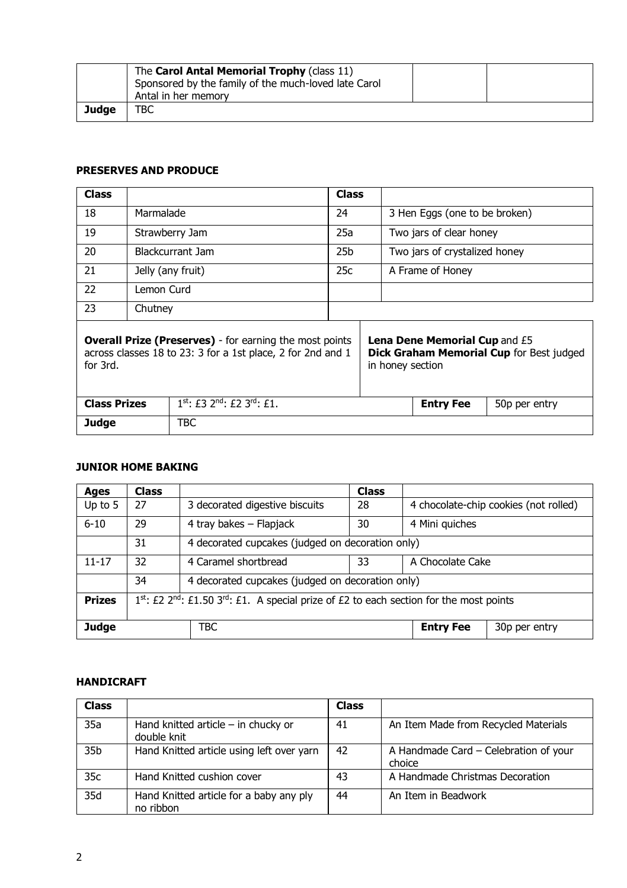|              | The Carol Antal Memorial Trophy (class 11)<br>Sponsored by the family of the much-loved late Carol<br>Antal in her memory |  |
|--------------|---------------------------------------------------------------------------------------------------------------------------|--|
| <b>Judge</b> | твс                                                                                                                       |  |

## **PRESERVES AND PRODUCE**

| Class                                                                                                                                     | <b>Class</b> |                                                          |                 |                  |                                      |                                          |
|-------------------------------------------------------------------------------------------------------------------------------------------|--------------|----------------------------------------------------------|-----------------|------------------|--------------------------------------|------------------------------------------|
| 18                                                                                                                                        | Marmalade    |                                                          | 24              |                  | 3 Hen Eggs (one to be broken)        |                                          |
| 19                                                                                                                                        |              | Strawberry Jam                                           | 25a             |                  | Two jars of clear honey              |                                          |
| 20                                                                                                                                        |              | Blackcurrant Jam                                         | 25 <sub>b</sub> |                  | Two jars of crystalized honey        |                                          |
| 21                                                                                                                                        |              | Jelly (any fruit)                                        | 25c             |                  | A Frame of Honey                     |                                          |
| 22                                                                                                                                        | Lemon Curd   |                                                          |                 |                  |                                      |                                          |
| 23                                                                                                                                        | Chutney      |                                                          |                 |                  |                                      |                                          |
| <b>Overall Prize (Preserves)</b> - for earning the most points<br>across classes 18 to 23: 3 for a 1st place, 2 for 2nd and 1<br>for 3rd. |              |                                                          |                 | in honey section | <b>Lena Dene Memorial Cup and £5</b> | Dick Graham Memorial Cup for Best judged |
| <b>Class Prizes</b>                                                                                                                       |              | $1^{st}$ : £3 2 <sup>nd</sup> : £2 3 <sup>rd</sup> : £1. |                 |                  | <b>Entry Fee</b>                     | 50p per entry                            |
| Judge                                                                                                                                     |              | TBC                                                      |                 |                  |                                      |                                          |

## **JUNIOR HOME BAKING**

| Ages          | <b>Class</b>                                                                          |                                                  | <b>Class</b> |                                       |               |  |
|---------------|---------------------------------------------------------------------------------------|--------------------------------------------------|--------------|---------------------------------------|---------------|--|
| Up to $5$     | 27                                                                                    | 3 decorated digestive biscuits                   | 28           | 4 chocolate-chip cookies (not rolled) |               |  |
| $6 - 10$      | 29                                                                                    | 4 tray bakes - Flapjack                          | 30           | 4 Mini guiches                        |               |  |
|               | 31                                                                                    | 4 decorated cupcakes (judged on decoration only) |              |                                       |               |  |
| $11 - 17$     | 32                                                                                    | 4 Caramel shortbread                             | 33           | A Chocolate Cake                      |               |  |
|               | 34                                                                                    | 4 decorated cupcakes (judged on decoration only) |              |                                       |               |  |
| <b>Prizes</b> | 1st: £2 2nd: £1.50 3rd: £1. A special prize of £2 to each section for the most points |                                                  |              |                                       |               |  |
| Judge<br>TBC  |                                                                                       |                                                  |              | <b>Entry Fee</b>                      | 30p per entry |  |

# **HANDICRAFT**

| <b>Class</b>    |                                                      | Class |                                                 |
|-----------------|------------------------------------------------------|-------|-------------------------------------------------|
| 35a             | Hand knitted article $-$ in chucky or<br>double knit | 41    | An Item Made from Recycled Materials            |
| 35 <sub>b</sub> | Hand Knitted article using left over yarn            | 42    | A Handmade Card - Celebration of your<br>choice |
| 35c             | Hand Knitted cushion cover                           | 43    | A Handmade Christmas Decoration                 |
| 35d             | Hand Knitted article for a baby any ply<br>no ribbon | 44    | An Item in Beadwork                             |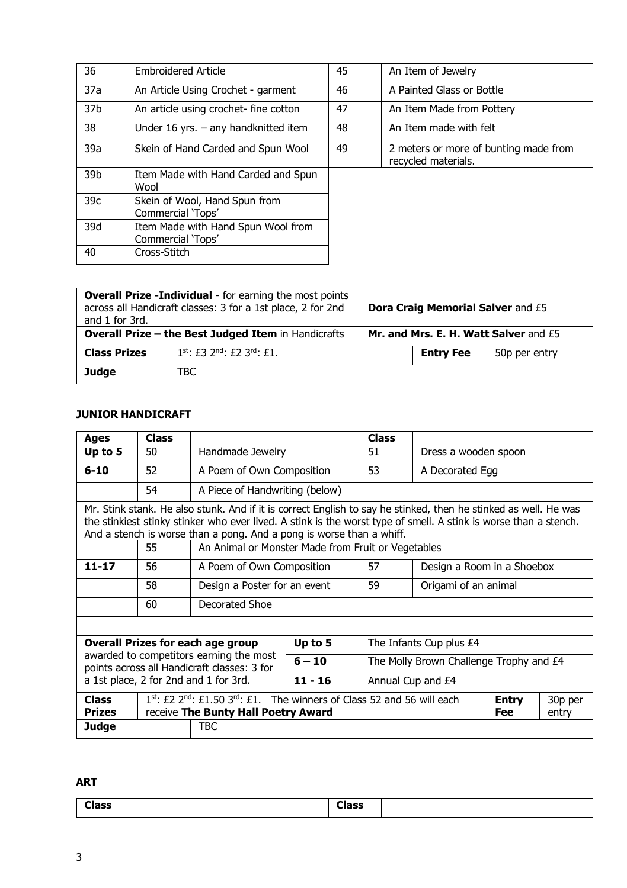| 36              | <b>Embroidered Article</b>                              | 45 | An Item of Jewelry                                           |
|-----------------|---------------------------------------------------------|----|--------------------------------------------------------------|
| 37a             | An Article Using Crochet - garment                      | 46 | A Painted Glass or Bottle                                    |
| 37 <sub>b</sub> | An article using crochet- fine cotton                   | 47 | An Item Made from Pottery                                    |
| 38              | Under 16 yrs. $-$ any handknitted item                  | 48 | An Item made with felt                                       |
| 39a             | Skein of Hand Carded and Spun Wool                      | 49 | 2 meters or more of bunting made from<br>recycled materials. |
| 39b             | Item Made with Hand Carded and Spun<br>Wool             |    |                                                              |
| 39 <sub>c</sub> | Skein of Wool, Hand Spun from<br>Commercial 'Tops'      |    |                                                              |
| 39d             | Item Made with Hand Spun Wool from<br>Commercial 'Tops' |    |                                                              |
| 40              | Cross-Stitch                                            |    |                                                              |

| and 1 for 3rd.                                             | <b>Overall Prize -Individual</b> - for earning the most points<br>across all Handicraft classes: 3 for a 1st place, 2 for 2nd |                                       | Dora Craig Memorial Salver and £5 |               |
|------------------------------------------------------------|-------------------------------------------------------------------------------------------------------------------------------|---------------------------------------|-----------------------------------|---------------|
| <b>Overall Prize - the Best Judged Item in Handicrafts</b> |                                                                                                                               | Mr. and Mrs. E. H. Watt Salver and £5 |                                   |               |
| <b>Class Prizes</b>                                        | $1^{st}$ : £3 2 <sup>nd</sup> : £2 3 <sup>rd</sup> : £1.                                                                      |                                       | <b>Entry Fee</b>                  | 50p per entry |
| Judge                                                      | TBC                                                                                                                           |                                       |                                   |               |

# **JUNIOR HANDICRAFT**

| Ages                                                                                                                                                                                             | <b>Class</b>                                                                                                                                                                                                                                                                                                |                                                                                        |          | <b>Class</b>                            |                         |  |  |
|--------------------------------------------------------------------------------------------------------------------------------------------------------------------------------------------------|-------------------------------------------------------------------------------------------------------------------------------------------------------------------------------------------------------------------------------------------------------------------------------------------------------------|----------------------------------------------------------------------------------------|----------|-----------------------------------------|-------------------------|--|--|
| Up to 5                                                                                                                                                                                          | 50                                                                                                                                                                                                                                                                                                          | Handmade Jewelry                                                                       |          | 51                                      | Dress a wooden spoon    |  |  |
| $6 - 10$                                                                                                                                                                                         | 52                                                                                                                                                                                                                                                                                                          | A Poem of Own Composition                                                              |          | 53                                      | A Decorated Egg         |  |  |
|                                                                                                                                                                                                  | 54                                                                                                                                                                                                                                                                                                          | A Piece of Handwriting (below)                                                         |          |                                         |                         |  |  |
|                                                                                                                                                                                                  | Mr. Stink stank. He also stunk. And if it is correct English to say he stinked, then he stinked as well. He was<br>the stinkiest stinky stinker who ever lived. A stink is the worst type of smell. A stink is worse than a stench.<br>And a stench is worse than a pong. And a pong is worse than a whiff. |                                                                                        |          |                                         |                         |  |  |
|                                                                                                                                                                                                  | 55                                                                                                                                                                                                                                                                                                          | An Animal or Monster Made from Fruit or Vegetables                                     |          |                                         |                         |  |  |
| $11 - 17$                                                                                                                                                                                        | 56                                                                                                                                                                                                                                                                                                          | 57<br>A Poem of Own Composition<br>Design a Room in a Shoebox                          |          |                                         |                         |  |  |
|                                                                                                                                                                                                  | 58                                                                                                                                                                                                                                                                                                          | Design a Poster for an event                                                           | 59       | Origami of an animal                    |                         |  |  |
|                                                                                                                                                                                                  | 60                                                                                                                                                                                                                                                                                                          | Decorated Shoe                                                                         |          |                                         |                         |  |  |
|                                                                                                                                                                                                  |                                                                                                                                                                                                                                                                                                             |                                                                                        |          |                                         |                         |  |  |
|                                                                                                                                                                                                  |                                                                                                                                                                                                                                                                                                             | <b>Overall Prizes for each age group</b>                                               | Up to 5  |                                         | The Infants Cup plus £4 |  |  |
|                                                                                                                                                                                                  |                                                                                                                                                                                                                                                                                                             | awarded to competitors earning the most<br>points across all Handicraft classes: 3 for | $6 - 10$ | The Molly Brown Challenge Trophy and £4 |                         |  |  |
| a 1st place, 2 for 2nd and 1 for 3rd.<br>$11 - 16$<br>Annual Cup and £4                                                                                                                          |                                                                                                                                                                                                                                                                                                             |                                                                                        |          |                                         |                         |  |  |
| $1st$ : £2 2 <sup>nd</sup> : £1.50 3 <sup>rd</sup> : £1. The winners of Class 52 and 56 will each<br><b>Class</b><br><b>Entry</b><br><b>Prizes</b><br>receive The Bunty Hall Poetry Award<br>Fee |                                                                                                                                                                                                                                                                                                             |                                                                                        |          | 30p per<br>entry                        |                         |  |  |
| <b>TBC</b><br>Judge                                                                                                                                                                              |                                                                                                                                                                                                                                                                                                             |                                                                                        |          |                                         |                         |  |  |

# **ART**

| Class | Class |  |
|-------|-------|--|
|       |       |  |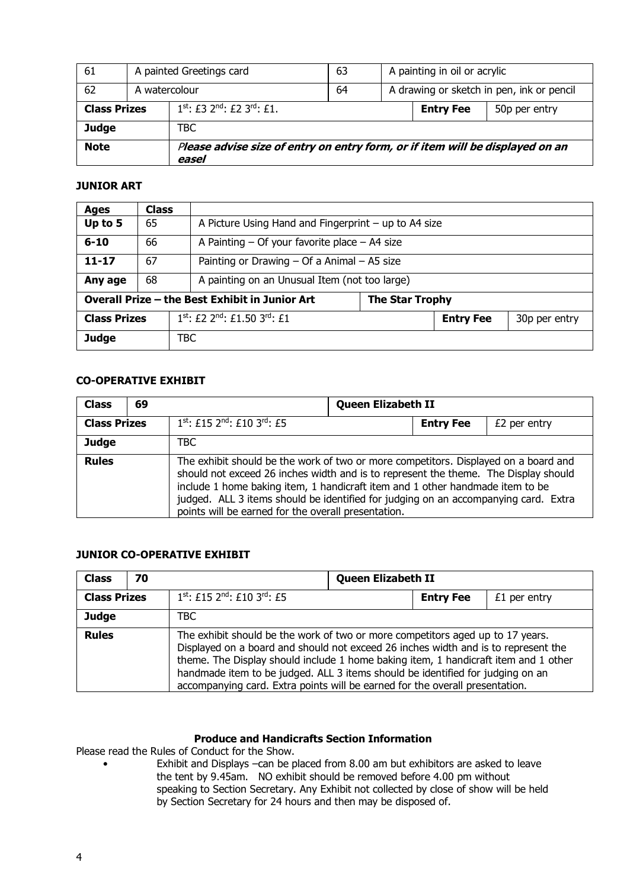| 61                  |                                                                                        | A painted Greetings card<br>63 |    | A painting in oil or acrylic              |                  |               |
|---------------------|----------------------------------------------------------------------------------------|--------------------------------|----|-------------------------------------------|------------------|---------------|
| 62                  | A watercolour                                                                          |                                | 64 | A drawing or sketch in pen, ink or pencil |                  |               |
| <b>Class Prizes</b> | $1^{st}$ : £3 2 <sup>nd</sup> : £2 3 <sup>rd</sup> : £1.                               |                                |    |                                           | <b>Entry Fee</b> | 50p per entry |
| Judge               |                                                                                        | TBC                            |    |                                           |                  |               |
| <b>Note</b>         | Please advise size of entry on entry form, or if item will be displayed on an<br>easel |                                |    |                                           |                  |               |

#### **JUNIOR ART**

| Ages                | <b>Class</b> |                                                |                                                      |  |               |  |  |
|---------------------|--------------|------------------------------------------------|------------------------------------------------------|--|---------------|--|--|
| Up to 5             | 65           |                                                | A Picture Using Hand and Fingerprint - up to A4 size |  |               |  |  |
| $6 - 10$            | 66           |                                                | A Painting $-$ Of your favorite place $-$ A4 size    |  |               |  |  |
| $11 - 17$           | 67           |                                                | Painting or Drawing $-$ Of a Animal $-$ A5 size      |  |               |  |  |
| Any age             | 68           | A painting on an Unusual Item (not too large)  |                                                      |  |               |  |  |
|                     |              | Overall Prize - the Best Exhibit in Junior Art | <b>The Star Trophy</b>                               |  |               |  |  |
| <b>Class Prizes</b> |              | $1^{st}$ : £2, $2^{nd}$ : £1.50 $3^{rd}$ : £1  | <b>Entry Fee</b>                                     |  | 30p per entry |  |  |
| <b>Judge</b>        |              | TBC                                            |                                                      |  |               |  |  |

# **CO-OPERATIVE EXHIBIT**

| <b>Class</b>        | 69 |                                                                                                                                                                                                                                                                                                                                                                                                           | <b>Queen Elizabeth II</b> |                  |              |  |
|---------------------|----|-----------------------------------------------------------------------------------------------------------------------------------------------------------------------------------------------------------------------------------------------------------------------------------------------------------------------------------------------------------------------------------------------------------|---------------------------|------------------|--------------|--|
| <b>Class Prizes</b> |    | 1st: £15 2nd: £10 3rd: £5                                                                                                                                                                                                                                                                                                                                                                                 |                           | <b>Entry Fee</b> | £2 per entry |  |
| Judge               |    | TBC.                                                                                                                                                                                                                                                                                                                                                                                                      |                           |                  |              |  |
| <b>Rules</b>        |    | The exhibit should be the work of two or more competitors. Displayed on a board and<br>should not exceed 26 inches width and is to represent the theme. The Display should<br>include 1 home baking item, 1 handicraft item and 1 other handmade item to be<br>judged. ALL 3 items should be identified for judging on an accompanying card. Extra<br>points will be earned for the overall presentation. |                           |                  |              |  |

#### **JUNIOR CO-OPERATIVE EXHIBIT**

| <b>Class</b>        | 70 | <b>Queen Elizabeth II</b>                                                                                                                                                                                                                                                                                                                                                                                                     |  |                  |              |  |
|---------------------|----|-------------------------------------------------------------------------------------------------------------------------------------------------------------------------------------------------------------------------------------------------------------------------------------------------------------------------------------------------------------------------------------------------------------------------------|--|------------------|--------------|--|
| <b>Class Prizes</b> |    | $1^{st}$ : £15 2 <sup>nd</sup> : £10 3 <sup>rd</sup> : £5                                                                                                                                                                                                                                                                                                                                                                     |  | <b>Entry Fee</b> | £1 per entry |  |
| Judge               |    | TBC                                                                                                                                                                                                                                                                                                                                                                                                                           |  |                  |              |  |
| <b>Rules</b>        |    | The exhibit should be the work of two or more competitors aged up to 17 years.<br>Displayed on a board and should not exceed 26 inches width and is to represent the<br>theme. The Display should include 1 home baking item, 1 handicraft item and 1 other<br>handmade item to be judged. ALL 3 items should be identified for judging on an<br>accompanying card. Extra points will be earned for the overall presentation. |  |                  |              |  |

### **Produce and Handicrafts Section Information**

Please read the Rules of Conduct for the Show.

• Exhibit and Displays –can be placed from 8.00 am but exhibitors are asked to leave the tent by 9.45am. NO exhibit should be removed before 4.00 pm without speaking to Section Secretary. Any Exhibit not collected by close of show will be held by Section Secretary for 24 hours and then may be disposed of.